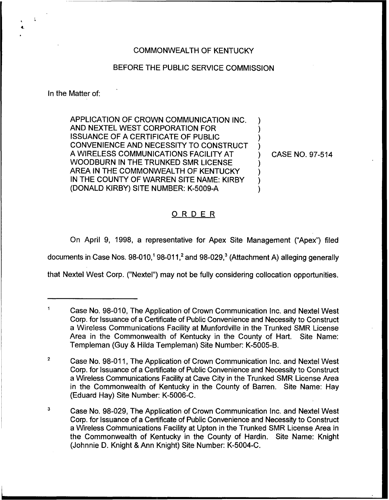# COMMONWEALTH OF KENTUCKY

## BEFORE THE PUBLIC SERVICE COMMISSION

In the Matter of:

APPLICATION OF CROWN COMMUNICATION INC. AND NEXTEL WEST CORPORATION FOR ISSUANCE OF A CERTIFICATE OF PUBLIC CONVENIENCE AND NECESSITY TO CONSTRUCT A WIRELESS COMMUNICATIONS FACILITY AT WOODBURN IN THE TRUNKED SMR LICENSE AREA IN THE COMMONWEALTH OF KENTUCKY IN THE COUNTY OF WARREN SITE NAME: KIRBY (DONALD KIRBY) SITE NUMBER: K-5009-A )  $\overline{\phantom{a}}$ ) )  $\overline{\phantom{a}}$ ) ) )

) CASE NO. 97-514

# ORDER

On April 9, 1998, a representative for Apex Site Management ("Apex") filed

documents in Case Nos.  $98-010$ ,<sup>1</sup>  $98-011$ ,<sup>2</sup> and  $98-029$ ,<sup>3</sup> (Attachment A) alleging generally

that Nextel West Corp. ("Nextel") may not be fully considering collocation opportunities.

Case No. 98-010, The Application of Crown Communication lnc. and Nextel West Corp. for Issuance of a Certificate of Public Convenience and Necessity to Construct a Wireless Communications Facility at Munfordville in the Trunked SMR License Area in the Commonwealth of Kentucky in the County of Hart. Site Name: Templeman (Guy 8 Hilda Templeman) Site Number: K-5005-B.

 $\overline{2}$ Case No. 98-011, The Application of Crown Communication Inc. and Nextel West Corp. for Issuance of a Certificate of Public Convenience and Necessity to Construct a Wireless Communications Facility at Cave City in the Trunked SMR <sup>I</sup> icense Area in the Commonwealth of Kentucky in the County of Barren. Site Name: Hay (Eduard Hay) Site Number: K-5006-C.

 $\mathsf 3$ Case No. 98-029, The Application of Crown Communication Inc. and Nextel West Corp. for Issuance of a Certificate of Public Convenience and Necessity to Construct a Wireless Communications Facility at Upton in the Trunked SMR License Area in the Commonwealth of Kentucky in the County of Hardin. Site Name: Knight (Johnnie D. Knight, 8 Ann Knight) Site Number: K-5004-C.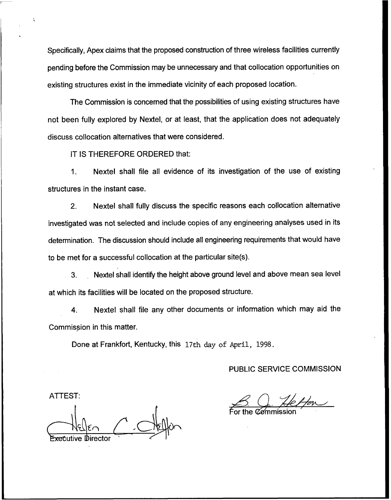Specifically, Apex claims that the proposed construction of three wireless facilities currently pending before the Commission may be unnecessary and that collocation opportunities on existing structures exist in the immediate vicinity of each proposed location.

The Commission is concerned that the possibilities of using existing structures have not been fully explored by Nextel, or at least, that the application does not adequately discuss collocation alternatives that were considered.

IT IS THEREFORE ORDERED that:

 $1<sup>1</sup>$ Nextel shall file all evidence of its investigation of the use of existing structures in the instant case.

2. Nextel shall fully discuss the specific reasons each collocation alternative investigated was not selected and include copies of any engineering analyses used in its determination. The discussion should include all engineering requirements that would have to be met for a successful collocation at the particular site(s).

3. Nextel shall identify the height above ground level and above mean sea level at which its facilities will be located on the proposed structure.

4. Nextel shall file any other documents or information which may aid the Commission in this matter.

Done at Frankfort, Kentucky, this 17th day of April, 1998.

PUBLIC SERVICE COMMISSION

ATTEST: E<del>xe</del>cutive Directo

 $\frac{\sqrt{2}}{2}$ <u>Commerce</u><br>Q. Helfor

For the Commissio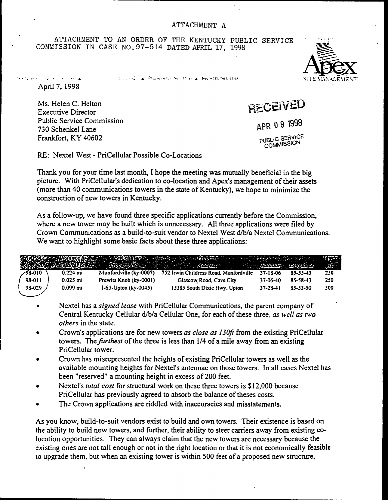ATTACHMENT TO AN ORDER OF THE KENTUCKY PUBLIC SERVICE COMMISSION IN CASE NO. 97-514 DATED APRIL 17, 1998

TELECTICAL Phone of Julie (3150) A. Fax 610-260-3138



Ms. Helen C. Helton

**Executive Director Public Service Commission** 730 Schenkel Lane Frankfort, KY 40602

RECEIVED APR 09 1998 **PUBLIC SERVICE** COMMISSION

RE: Nextel West - PriCellular Possible Co-Locations

Thank you for your time last month, I hope the meeting was mutually beneficial in the big picture. With PriCellular's dedication to co-location and Apex's management of their assets (more than 40 communications towers in the state of Kentucky), we hope to minimize the construction of new towers in Kentucky.

As a follow-up, we have found three specific applications currently before the Commission. where a new tower may be built which is unnecessary. All three applications were filed by Crown Communications as a build-to-suit vendor to Nextel West d/b/a Nextel Communications. We want to highlight some basic facts about these three applications:

|         |            |                              | Melisco pusquedo e la la Camaza de la Vigante de La Velha e la Velha de La Seguidad.<br>La política de la Granda de la Granda de la Velha de la Velha de La Granda de La Granda de la Velha de La Gran |                |          |     |
|---------|------------|------------------------------|--------------------------------------------------------------------------------------------------------------------------------------------------------------------------------------------------------|----------------|----------|-----|
| -98-010 | $0.224$ mi | Munfordville (ky-0007)       | 752 Irwin Childress Road, Munfordville                                                                                                                                                                 | 37-18-06       | 85-55-43 | 250 |
| 98-011  | $0.025$ mi | Prewits Knob (ky-0001)       | Glascow Road, Cave City                                                                                                                                                                                | 37-06-40       | 85-58-43 | 250 |
| 98-029  | $0.099$ mi | $1-65 -$ Upton (ky $-0045$ ) | 15385 South Dixie Hwy, Upton                                                                                                                                                                           | $37 - 28 - 11$ | 85-53-50 | 300 |

- Nextel has a signed lease with PriCellular Communications, the parent company of Central Kentucky Cellular d/b/a Cellular One, for each of these three, as well as two *others* in the state.
- Crown's applications are for new towers as close as 130ft from the existing PriCellular towers. The furthest of the three is less than 1/4 of a mile away from an existing PriCellular tower.
- Crown has misrepresented the heights of existing PriCellular towers as well as the available mounting heights for Nextel's antennae on those towers. In all cases Nextel has been "reserved" a mounting height in excess of 200 feet.
- Nextel's *total cost* for structural work on these three towers is \$12,000 because  $\bullet$ PriCellular has previously agreed to absorb the balance of theses costs.
- The Crown applications are riddled with inaccuracies and misstatements.  $\bullet$

As you know, build-to-suit vendors exist to build and own towers. Their existence is based on the ability to build new towers, and further, their ability to steer carriers away from existing colocation opportunities. They can always claim that the new towers are necessary because the existing ones are not tall enough or not in the right location or that it is not economically feasible to upgrade them, but when an existing tower is within 500 feet of a proposed new structure,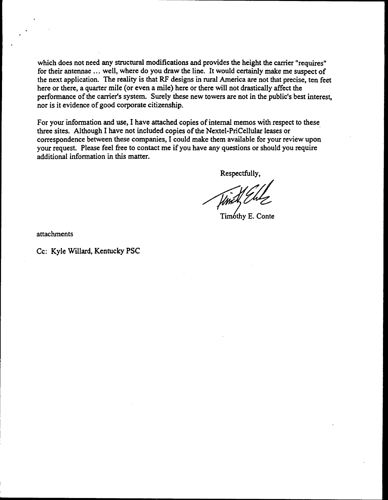which does not need any structural modifications and provides the height the carrier "requires" for their antennae ... well, where do you draw the line. It would certainly make me suspect of the next application. The reality is that RF designs in rural America are not that precise, ten feet here or there, a quarter mile (or even a mile) here or there will not drastically affect the performance of the carrier's system. Surely these new towers are not in the public's best interest, nor is it evidence of good corporate citizenship.

For your information and use, I have attached copies of internal memos with respect to these three sites. Although I have not included copies of the Nextel-PriCellular leases or correspondence between these companies, I could make them available for your review upon your request. Please feel free to contact me if you have any questions or should you require additional information in this matter.

Respectfully,

Timothy E. Conte

attachments

Cc: Kyle Willard, Kentucky PSC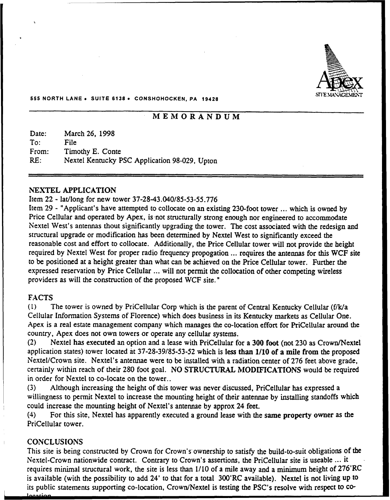

#### 555 NORTH LANE <sup>~</sup> SUITE 6136 <sup>~</sup> CONSHOHOCKEN, PA 19426

# MEMORANDUM

| Date: | March 26, 1998                                |
|-------|-----------------------------------------------|
| To:   | File                                          |
| From: | Timothy E. Conte                              |
| RE:   | Nextel Kentucky PSC Application 98-029, Upton |

## NEXTEL APPLICATION

## Item 22 - lat/long for new tower 37-28-43.040/85-53-55.776

Item 29 - "Applicant's have attempted to collocate on an existing 230-foot tower ... which is owned by Price Cellular and operated by Apex, is not structurally strong enough nor engineered to accommodate Nextel West's antennas thout significantly upgrading the tower. The cost associated with the redesign and structural upgrade or modification has been determined by Nextel West to significaatly exceed the reasonable cost and effort to collocate. Additionally, the Price Cellular tower will not provide the height required by Nextel West for proper radio frequency propogation ... requires the antennas for this WCF site to be positioned at a height greater than what can be achieved on the Price Cellular tower. Further the expressed reservation by Price Cellular ... will not permit the collocation of other competing wireless providers as will the construction of the proposed WCF site."

# FACTS

{1) The tower is owned by PriCellular Corp which is the parent of Cenual Kentucky Cellular (f/k/a Cellular Information Systems of Florence) which does business in its Kentucky markets as Cellular One. Apex is a real estate management company which manages the co-location effort for PriCellular around the country, Apex does not own towers or operate any cellular systems.

(2) Nextel has executed an option and a lease with PriCellular for a 300 foot (not 230 as Crown/Nextel application states) tower located at 37-28-39/85-53-52 which is less than 1/10 of a mile from the proposed Nextel/Crown site. Nextel's antennae were to be installed with a radiation center of 276 feet above grade, certainly within reach of their 280 foot goal. NO STRUCTURAL MODIFICATIONS would be required in order for Nextel to co-locate on the tower..

{3) Although increasing the height of this tower was never discussed, PriCellular has expressed a willingness to permit Nextel to increase the mounting height of their aatennae by installing standoffs which could increase the mounting height of Nextel's antennae by approx 24 feet.<br>(4) For this site. Nextel has apparently executed a ground lease with the

For this site, Nextel has apparently executed a ground lease with the same property owner as the PriCellular tower.

# CONCLUSIONS

This site is being constructed by Crown for Crown's'ownership to satisfy the build-to-suit obligations of the Nextel-Crown nationwide contract. Contrary to Crown's assertions, the PriCellular site is useable ... it requires minimal structural work, the site is less than  $1/10$  of a mile away and a minimum height of  $276'RC$ is available (with the possibility to add 24' to that for a total 300'RC available). Nextel is not living up to its public statements supporting co-location, Crown/Nextel is testing the pSC's resolve with respect to co-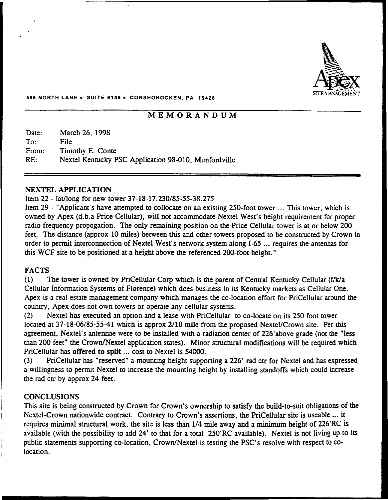

#### 555 NORTH LANE . SUITE 6138 . CONSHOHOCKEN, PA 19428

# **MEMORANDUM**

Date: To: From: RE: March 26, 1998 File Timothy E. Conte Nextel Kentucky PSC Application 98-010, Munfordville

### NEXTEL APPLICATION

# Item 22 - lat/long for new'ower 37-18-17.230/85-55-38.275

Item <sup>29</sup> - "Applicant's have attempted to collocate on an existing 250-foot tower ...This tower, which is owned by Apex (d.b.a Price Cellular), will not accommodate Nextel West's height requirement for proper radio frequency propogation. The only remaining position on the Price Cellular tower is at or below 200 feet. The distance (approx 10 miles) between this and other towers proposed to be constructed by Crown in order to permit interconnection of Nextel West's network system along I-65 ... requires the antennas for this WCF site to be positioned at a height above the referenced 200-foot height."

# FACTS

(1) The tower is owned by PriCellular Corp which is the parent of Central Kentucky Cellular (f/k/a Cellular Information Systems of Florence) which does business in its Kentucky markets as Cellular One. Apex is a real estate management company which manages the co-location effort for PriCellular around the country, Apex does not own towers or operate any cellular systems.

(2) Nextel has executed an option and a lease with PriCellular to co-locate on its 250 foot tower located at 37-18-06/85-55-41 which is approx 2/10 mile from the proposed Nextel/Crown site. Per this agreement, Nextel's antennae were to be installed with a radiation center of 226'above grade (not the "less than 200 feet" the Crown/Nextel application states). Minor structural modifications will be required which PriCellular has offered to split ... cost to Nextel is \$4000.

(3) PriCellular has "reserved" a mounting height supporting a 226' rad ctr for Nextel and has expressed a willingness to permit Nextel to increase the mounting height by installing standoffs which could increase the rad ctr by approx 24 feet.

### **CONCLUSIONS**

This site is being constructed by Crown for Crown's ownership to satisfy the build-to-suit obligations of the Nextel-Crown nationwide contract. Contrary to Crown's assertions, the PriCellular site is useable ...it requires minimal structural work, the site is less than 1/4 mile away and a minimum height of 226'RC is available (with the possibility to add 24' to that for a total 250'RC available). Nextel is not living up to its public statements supporting co-location, Crown/Nextel is testing the PSC's resolve with respect to colocation.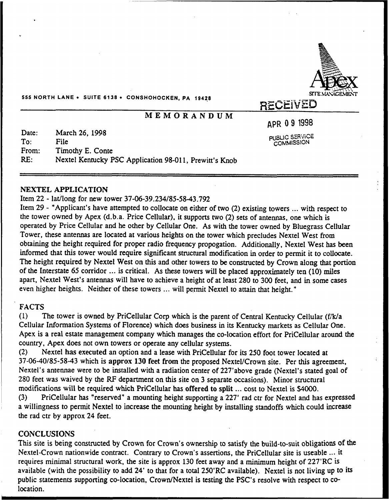

555 NORTH LANE · SUITE 6138 · CONSHOHOCKEN, PA 19428

# MEMORANDUM

APR 09 1998

PUBLIC SERVICI COMMISSION

Date: To: From: RE: March 26, 1998 File Timothy E. Conte Nextel Kentucky PSC Application 98-011, Prewitt's Knob

# NEXTEL APPLICATION

Item 22 - lat/long for new tower 37-06-39.234/85-58-43.792

Item 29 - "Applicant's have attempted to collocate on either of two (2) existing towers ... with respect to the tower owned by Apex (d.b.a. Price Cellular), it supports two (2) sets of antennas, one which is operated by Price Cellular and he other by Cellular One. As with the tower owned by Bluegrass Cellular Tower, these antennas are located at various heights on the tower which precludes Nextel West from obtaining the height required for proper radio frequency propogation. Additionally, Nextel West has been informed that this tower would require significant structural modification in order to permit it to collocate. The height required by Nextel West on this and other towers to be constructed by Crown along that portion of the Interstate <sup>65</sup> corridor ...is critical. As these towers will be placed approximately ten (10) miles apart, Nextel West's antennas will have to achieve a height of at least 280 to 300 feet, and in some cases even higher heights. Neither of these towers ... will permit Nextel to attain that height."

# FACTS

(1) The tower is owned by PriCellular Corp which is the parent of Central Kentucky Cellular (f/k/a Cellular Information Systems of Florence) which does business in its Kentucky markets as Cellular One. Apex is a real estate management company which manages the co-location effort for PriCellular around the country, Apex does not own towers or operate any cellular systems.

(2) Nextel has executed an option and a lease with PriCellular for its 250 foot tower located at 37-06-40/85-58-43 which is approx 130 feet from the proposed Nextel/Crown site. Per this agreement, Nextel's antennae were to be installed with a radiation center of 227'above grade (Nextel's stated goal of 280 feet was waived by the RF department on this site on 3 separate occasions). Minor structural modifications will be required which PriCellular has offered to split ...cost to Nextel is \$4000.

(3) PriCellular has "reserved" a mounting height supporting a 227' rad ctr for Nextel and has expressed a willingness to permit Nextel to increase the mounting height by installing standoffs which could increase the rad ctr by approx 24 feet.

### **CONCLUSIONS**

This site is being constructed by Crown for Crown's ownership to satisfy the build-to-suit obligations of the Nextel-Crown nationwide contract. Contrary to Crown's assertions, the PriCellular site is useable ... it requires minimal structural work, the site is approx 130 feet away and a minimum height of 227'RC is available (with the possibility to add 24' to that for a total 250'RC available). Nextel is not living up to its public statements supporting co-location, Crown/Nextel is testing the PSC's resolve with respect to colocation.